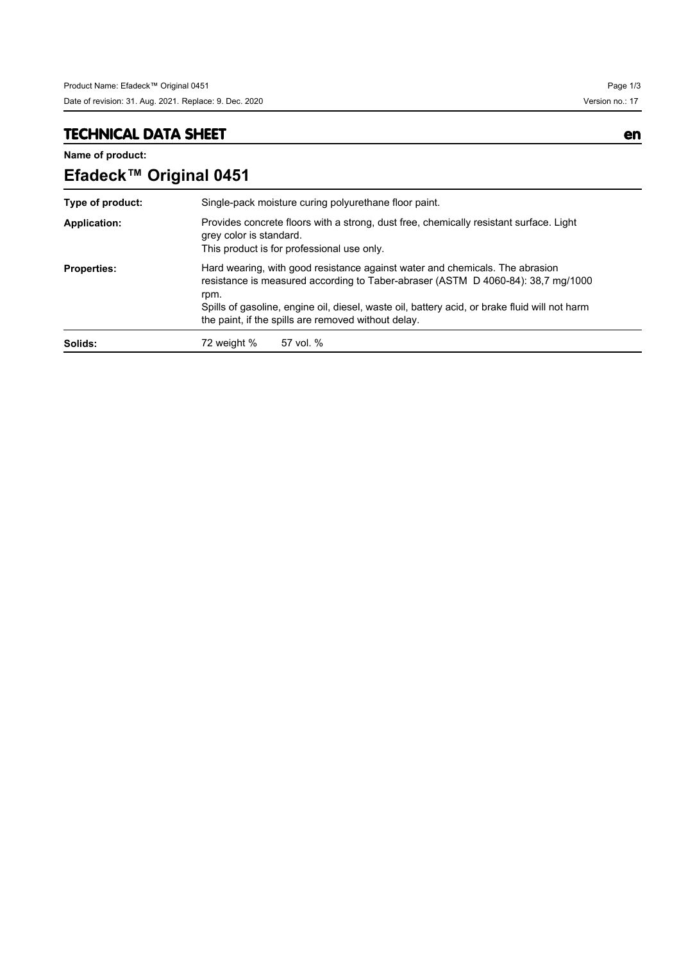## **TECHNICAL DATA SHEET en**

**Name of product:**

| Efadeck™ Original 0451 |                                                                                                                                                                                                                                                                                                                                  |  |  |
|------------------------|----------------------------------------------------------------------------------------------------------------------------------------------------------------------------------------------------------------------------------------------------------------------------------------------------------------------------------|--|--|
| Type of product:       | Single-pack moisture curing polyurethane floor paint.                                                                                                                                                                                                                                                                            |  |  |
| <b>Application:</b>    | Provides concrete floors with a strong, dust free, chemically resistant surface. Light<br>grey color is standard.<br>This product is for professional use only.                                                                                                                                                                  |  |  |
| <b>Properties:</b>     | Hard wearing, with good resistance against water and chemicals. The abrasion<br>resistance is measured according to Taber-abraser (ASTM D 4060-84): 38,7 mg/1000<br>rpm.<br>Spills of gasoline, engine oil, diesel, waste oil, battery acid, or brake fluid will not harm<br>the paint, if the spills are removed without delay. |  |  |
| Solids:                | 72 weight %<br>57 vol. %                                                                                                                                                                                                                                                                                                         |  |  |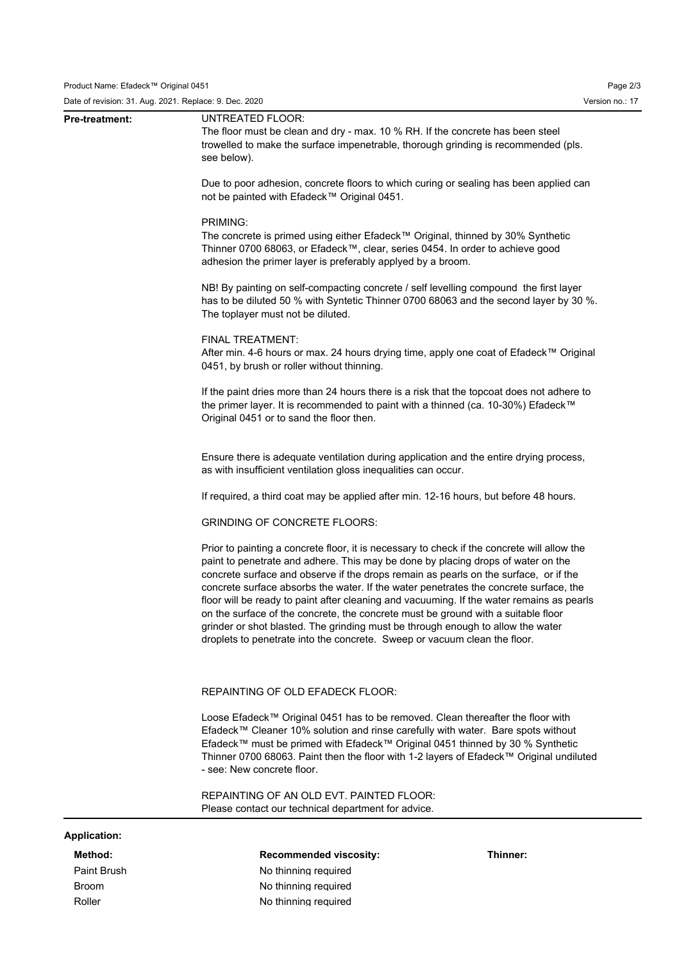Date of revision: 31. Aug. 2021. Replace: 9. Dec. 2020 Version no.: 17

| Method:<br>Paint Brush | <b>Recommended viscosity:</b><br>Thinner:<br>No thinning required                                                                                                                                                                                                                                                                                                                                                                                                                                                                                                                                                                                                                                                  |  |  |  |                       |                                                                                                                                                                                                         |
|------------------------|--------------------------------------------------------------------------------------------------------------------------------------------------------------------------------------------------------------------------------------------------------------------------------------------------------------------------------------------------------------------------------------------------------------------------------------------------------------------------------------------------------------------------------------------------------------------------------------------------------------------------------------------------------------------------------------------------------------------|--|--|--|-----------------------|---------------------------------------------------------------------------------------------------------------------------------------------------------------------------------------------------------|
| <b>Application:</b>    |                                                                                                                                                                                                                                                                                                                                                                                                                                                                                                                                                                                                                                                                                                                    |  |  |  |                       |                                                                                                                                                                                                         |
|                        | REPAINTING OF AN OLD EVT. PAINTED FLOOR:<br>Please contact our technical department for advice.                                                                                                                                                                                                                                                                                                                                                                                                                                                                                                                                                                                                                    |  |  |  |                       |                                                                                                                                                                                                         |
|                        | Loose Efadeck™ Original 0451 has to be removed. Clean thereafter the floor with<br>Efadeck™ Cleaner 10% solution and rinse carefully with water. Bare spots without<br>Efadeck™ must be primed with Efadeck™ Original 0451 thinned by 30 % Synthetic<br>Thinner 0700 68063. Paint then the floor with 1-2 layers of Efadeck™ Original undiluted<br>- see: New concrete floor.                                                                                                                                                                                                                                                                                                                                      |  |  |  |                       |                                                                                                                                                                                                         |
|                        | REPAINTING OF OLD EFADECK FLOOR:                                                                                                                                                                                                                                                                                                                                                                                                                                                                                                                                                                                                                                                                                   |  |  |  |                       |                                                                                                                                                                                                         |
|                        | Prior to painting a concrete floor, it is necessary to check if the concrete will allow the<br>paint to penetrate and adhere. This may be done by placing drops of water on the<br>concrete surface and observe if the drops remain as pearls on the surface, or if the<br>concrete surface absorbs the water. If the water penetrates the concrete surface, the<br>floor will be ready to paint after cleaning and vacuuming. If the water remains as pearls<br>on the surface of the concrete, the concrete must be ground with a suitable floor<br>grinder or shot blasted. The grinding must be through enough to allow the water<br>droplets to penetrate into the concrete. Sweep or vacuum clean the floor. |  |  |  |                       |                                                                                                                                                                                                         |
|                        | <b>GRINDING OF CONCRETE FLOORS:</b>                                                                                                                                                                                                                                                                                                                                                                                                                                                                                                                                                                                                                                                                                |  |  |  |                       |                                                                                                                                                                                                         |
|                        | If required, a third coat may be applied after min. 12-16 hours, but before 48 hours.                                                                                                                                                                                                                                                                                                                                                                                                                                                                                                                                                                                                                              |  |  |  |                       |                                                                                                                                                                                                         |
|                        | Ensure there is adequate ventilation during application and the entire drying process,<br>as with insufficient ventilation gloss inequalities can occur.                                                                                                                                                                                                                                                                                                                                                                                                                                                                                                                                                           |  |  |  |                       |                                                                                                                                                                                                         |
|                        | If the paint dries more than 24 hours there is a risk that the topcoat does not adhere to<br>the primer layer. It is recommended to paint with a thinned (ca. 10-30%) Efadeck™<br>Original 0451 or to sand the floor then.                                                                                                                                                                                                                                                                                                                                                                                                                                                                                         |  |  |  |                       |                                                                                                                                                                                                         |
|                        | FINAL TREATMENT:<br>After min. 4-6 hours or max. 24 hours drying time, apply one coat of Efadeck™ Original<br>0451, by brush or roller without thinning.                                                                                                                                                                                                                                                                                                                                                                                                                                                                                                                                                           |  |  |  |                       |                                                                                                                                                                                                         |
|                        | Due to poor adhesion, concrete floors to which curing or sealing has been applied can<br>not be painted with Efadeck™ Original 0451.<br>PRIMING:<br>The concrete is primed using either Efadeck™ Original, thinned by 30% Synthetic<br>Thinner 0700 68063, or Efadeck™, clear, series 0454. In order to achieve good<br>adhesion the primer layer is preferably applyed by a broom.<br>NB! By painting on self-compacting concrete / self levelling compound the first layer<br>has to be diluted 50 % with Syntetic Thinner 0700 68063 and the second layer by 30 %.<br>The toplayer must not be diluted.                                                                                                         |  |  |  |                       |                                                                                                                                                                                                         |
|                        |                                                                                                                                                                                                                                                                                                                                                                                                                                                                                                                                                                                                                                                                                                                    |  |  |  | <b>Pre-treatment:</b> | UNTREATED FLOOR:<br>The floor must be clean and dry - max. 10 % RH. If the concrete has been steel<br>trowelled to make the surface impenetrable, thorough grinding is recommended (pls.<br>see below). |

Broom No thinning required Roller No thinning required